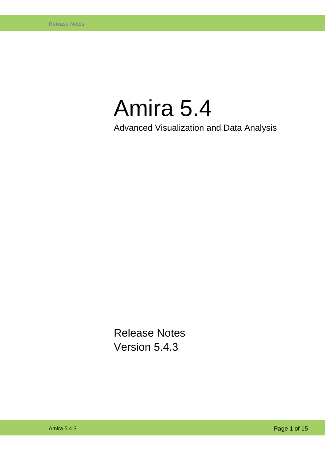# Amira 5.4

Advanced Visualization and Data Analysis

Release Notes Version 5.4.3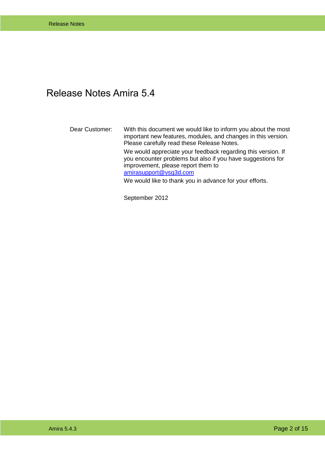#### <span id="page-1-0"></span>Release Notes Amira 5.4

Dear Customer: With this document we would like to inform you about the most important new features, modules, and changes in this version. Please carefully read these Release Notes. We would appreciate your feedback regarding this version. If you encounter problems but also if you have suggestions for improvement, please report them to [amirasupport@vsg3d.com](mailto:amirasupport@vsg3d.com)

We would like to thank you in advance for your efforts.

September 2012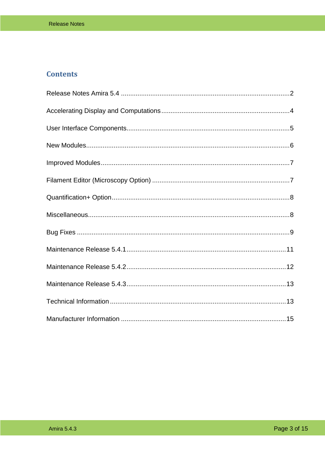#### **Contents**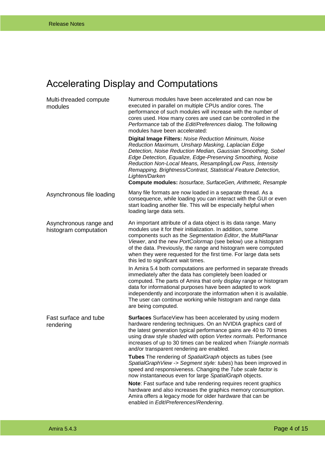# <span id="page-3-0"></span>Accelerating Display and Computations

| Multi-threaded compute<br>modules               | Numerous modules have been accelerated and can now be.<br>executed in parallel on multiple CPUs and/or cores. The<br>performance of such modules will increase with the number of<br>cores used. How many cores are used can be controlled in the<br>Performance tab of the Edit/Preferences dialog. The following<br>modules have been accelerated:                                                                                                        |
|-------------------------------------------------|-------------------------------------------------------------------------------------------------------------------------------------------------------------------------------------------------------------------------------------------------------------------------------------------------------------------------------------------------------------------------------------------------------------------------------------------------------------|
|                                                 | Digital Image Filters: Noise Reduction Minimum, Noise<br>Reduction Maximum, Unsharp Masking, Laplacian Edge<br>Detection, Noise Reduction Median, Gaussian Smoothing, Sobel<br>Edge Detection, Equalize, Edge-Preserving Smoothing, Noise<br>Reduction Non-Local Means, Resampling/Low Pass, Intensity<br>Remapping, Brightness/Contrast, Statistical Feature Detection,<br>Lighten/Darken<br>Compute modules: Isosurface, SurfaceGen, Arithmetic, Resample |
| Asynchronous file loading                       | Many file formats are now loaded in a separate thread. As a<br>consequence, while loading you can interact with the GUI or even<br>start loading another file. This will be especially helpful when<br>loading large data sets.                                                                                                                                                                                                                             |
| Asynchronous range and<br>histogram computation | An important attribute of a data object is its data range. Many<br>modules use it for their initialization. In addition, some<br>components such as the Segmentation Editor, the MultiPlanar<br>Viewer, and the new PortColormap (see below) use a histogram<br>of the data. Previously, the range and histogram were computed<br>when they were requested for the first time. For large data sets<br>this led to significant wait times.                   |
|                                                 | In Amira 5.4 both computations are performed in separate threads<br>immediately after the data has completely been loaded or<br>computed. The parts of Amira that only display range or histogram<br>data for informational purposes have been adapted to work<br>independently and incorporate the information when it is available.<br>The user can continue working while histogram and range data<br>are being computed.                                |
| Fast surface and tube<br>rendering              | Surfaces SurfaceView has been accelerated by using modern<br>hardware rendering techniques. On an NVIDIA graphics card of<br>the latest generation typical performance gains are 40 to 70 times<br>using draw style shaded with option Vertex normals. Performance<br>increases of up to 30 times can be realized when Triangle normals<br>and/or transparent rendering are enabled.                                                                        |
|                                                 | Tubes The rendering of SpatialGraph objects as tubes (see<br>SpatialGraphView -> Segment style: tubes) has been improved in<br>speed and responsiveness. Changing the Tube scale factor is<br>now instantaneous even for large SpatialGraph objects.                                                                                                                                                                                                        |
|                                                 | Note: Fast surface and tube rendering requires recent graphics<br>hardware and also increases the graphics memory consumption.<br>Amira offers a legacy mode for older hardware that can be<br>enabled in Edit/Preferences/Rendering.                                                                                                                                                                                                                       |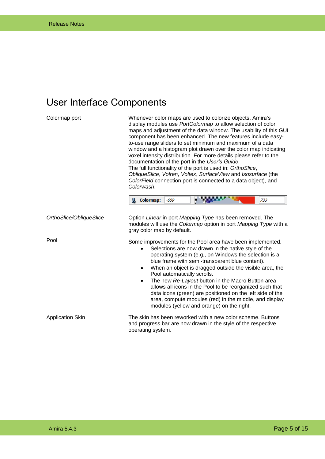# <span id="page-4-0"></span>User Interface Components

| Colormap port           | Whenever color maps are used to colorize objects, Amira's<br>display modules use PortColormap to allow selection of color<br>maps and adjustment of the data window. The usability of this GUI<br>component has been enhanced. The new features include easy-<br>to-use range sliders to set minimum and maximum of a data<br>window and a histogram plot drawn over the color map indicating<br>voxel intensity distribution. For more details please refer to the<br>documentation of the port in the User's Guide.<br>The full functionality of the port is used in: OrthoSlice,<br>ObliqueSlice, Volren, Voltex, SurfaceView and Isosurface (the<br>ColorField connection port is connected to a data object), and<br>Colorwash.<br><b>Colormap:</b><br>$-659$<br>733 |
|-------------------------|---------------------------------------------------------------------------------------------------------------------------------------------------------------------------------------------------------------------------------------------------------------------------------------------------------------------------------------------------------------------------------------------------------------------------------------------------------------------------------------------------------------------------------------------------------------------------------------------------------------------------------------------------------------------------------------------------------------------------------------------------------------------------|
| OrthoSlice/ObliqueSlice | Option Linear in port Mapping Type has been removed. The<br>modules will use the Colormap option in port Mapping Type with a<br>gray color map by default.                                                                                                                                                                                                                                                                                                                                                                                                                                                                                                                                                                                                                |
| Pool                    | Some improvements for the Pool area have been implemented.<br>Selections are now drawn in the native style of the<br>$\bullet$<br>operating system (e.g., on Windows the selection is a<br>blue frame with semi-transparent blue content).<br>When an object is dragged outside the visible area, the<br>$\bullet$<br>Pool automatically scrolls.<br>The new Re-Layout button in the Macro Button area<br>$\bullet$<br>allows all icons in the Pool to be reorganized such that<br>data icons (green) are positioned on the left side of the<br>area, compute modules (red) in the middle, and display<br>modules (yellow and orange) on the right.                                                                                                                       |
| <b>Application Skin</b> | The skin has been reworked with a new color scheme. Buttons<br>and progress bar are now drawn in the style of the respective<br>operating system.                                                                                                                                                                                                                                                                                                                                                                                                                                                                                                                                                                                                                         |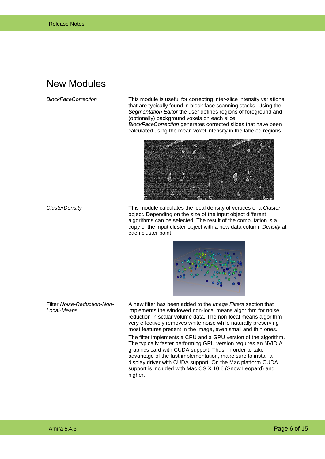#### <span id="page-5-0"></span>New Modules

*BlockFaceCorrection* This module is useful for correcting inter-slice intensity variations that are typically found in block face scanning stacks. Using the *Segmentation Editor* the user defines regions of foreground and (optionally) background voxels on each slice.

> *BlockFaceCorrection* generates corrected slices that have been calculated using the mean voxel intensity in the labeled regions.



*ClusterDensity* This module calculates the local density of vertices of a *Cluster* object. Depending on the size of the input object different algorithms can be selected. The result of the computation is a copy of the input cluster object with a new data column *Density* at each cluster point.



Filter *Noise-Reduction-Non-Local-Means*

A new filter has been added to the *Image Filters* section that implements the windowed non-local means algorithm for noise reduction in scalar volume data. The non-local means algorithm very effectively removes white noise while naturally preserving most features present in the image, even small and thin ones.

The filter implements a CPU and a GPU version of the algorithm. The typically faster performing GPU version requires an NVIDIA graphics card with CUDA support. Thus, in order to take advantage of the fast implementation, make sure to install a display driver with CUDA support. On the Mac platform CUDA support is included with Mac OS X 10.6 (Snow Leopard) and higher.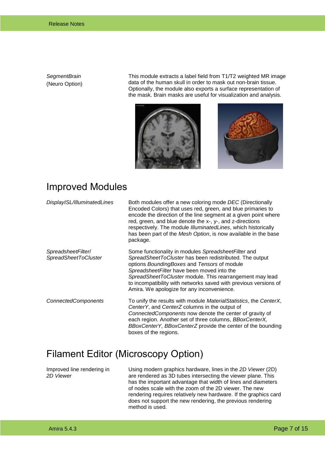*SegmentBrain* (Neuro Option) This module extracts a label field from T1/T2 weighted MR image data of the human skull in order to mask out non-brain tissue. Optionally, the module also exports a surface representation of the mask. Brain masks are useful for visualization and analysis.





#### <span id="page-6-0"></span>Improved Modules

| DisplayISL/IlluminatedLines                       | Both modules offer a new coloring mode DEC (Directionally<br>Encoded Colors) that uses red, green, and blue primaries to<br>encode the direction of the line segment at a given point where<br>red, green, and blue denote the x-, y-, and z-directions<br>respectively. The module Illuminated Lines, which historically<br>has been part of the Mesh Option, is now available in the base<br>package. |
|---------------------------------------------------|---------------------------------------------------------------------------------------------------------------------------------------------------------------------------------------------------------------------------------------------------------------------------------------------------------------------------------------------------------------------------------------------------------|
| SpreadsheetFilter/<br><b>SpreadSheetToCluster</b> | Some functionality in modules Spreadsheet Filter and<br>SpreadSheetToCluster has been redistributed. The output<br>options BoundingBoxes and Tensors of module<br>SpreadsheetFilter have been moved into the<br>SpreadSheetToCluster module. This rearrangement may lead<br>to incompatibility with networks saved with previous versions of<br>Amira. We apologize for any inconvenience.              |
| <b>ConnectedComponents</b>                        | To unify the results with module MaterialStatistics, the CenterX,<br>CenterY, and CenterZ columns in the output of<br>Connected Components now denote the center of gravity of<br>each region. Another set of three columns, BBoxCenterX,<br>BBoxCenterY, BBoxCenterZ provide the center of the bounding<br>boxes of the regions.                                                                       |

#### <span id="page-6-1"></span>Filament Editor (Microscopy Option)

Improved line rendering in *2D Viewer*

Using modern graphics hardware, lines in the *2D Viewer* (2D) are rendered as 3D tubes intersecting the viewer plane. This has the important advantage that width of lines and diameters of nodes scale with the zoom of the 2D viewer. The new rendering requires relatively new hardware. If the graphics card does not support the new rendering, the previous rendering method is used.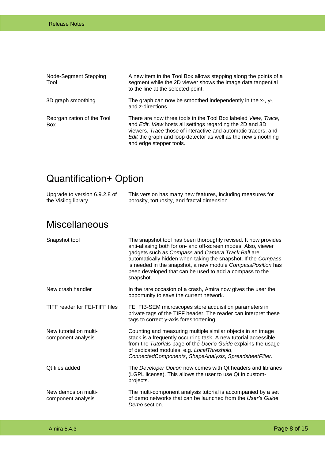| Node-Segment Stepping<br>Tool     | A new item in the Tool Box allows stepping along the points of a<br>segment while the 2D viewer shows the image data tangential<br>to the line at the selected point.                                                                                                                     |
|-----------------------------------|-------------------------------------------------------------------------------------------------------------------------------------------------------------------------------------------------------------------------------------------------------------------------------------------|
| 3D graph smoothing                | The graph can now be smoothed independently in the $x-$ , $y-$ ,<br>and z-directions.                                                                                                                                                                                                     |
| Reorganization of the Tool<br>Box | There are now three tools in the Tool Box labeled View, Trace,<br>and Edit. View hosts all settings regarding the 2D and 3D<br>viewers, Trace those of interactive and automatic tracers, and<br>Edit the graph and loop detector as well as the new smoothing<br>and edge stepper tools. |

# <span id="page-7-0"></span>Quantification+ Option

| Upgrade to version 6.9.2.8 of | This version has many new features, including measures for |
|-------------------------------|------------------------------------------------------------|
| the Visilog library           | porosity, tortuosity, and fractal dimension.               |
|                               |                                                            |

### <span id="page-7-1"></span>Miscellaneous

| Snapshot tool                                | The snapshot tool has been thoroughly revised. It now provides<br>anti-aliasing both for on- and off-screen modes. Also, viewer<br>gadgets such as Compass and Camera Track Ball are<br>automatically hidden when taking the snapshot. If the Compass<br>is needed in the snapshot, a new module CompassPosition has<br>been developed that can be used to add a compass to the<br>snapshot. |
|----------------------------------------------|----------------------------------------------------------------------------------------------------------------------------------------------------------------------------------------------------------------------------------------------------------------------------------------------------------------------------------------------------------------------------------------------|
| New crash handler                            | In the rare occasion of a crash, Amira now gives the user the<br>opportunity to save the current network.                                                                                                                                                                                                                                                                                    |
| TIFF reader for FEI-TIFF files               | FEI FIB-SEM microscopes store acquisition parameters in<br>private tags of the TIFF header. The reader can interpret these<br>tags to correct y-axis foreshortening.                                                                                                                                                                                                                         |
| New tutorial on multi-<br>component analysis | Counting and measuring multiple similar objects in an image<br>stack is a frequently occurring task. A new tutorial accessible<br>from the Tutorials page of the User's Guide explains the usage<br>of dedicated modules, e.g. LocalThreshold,<br>ConnectedComponents, ShapeAnalysis, SpreadsheetFilter.                                                                                     |
| Ot files added                               | The Developer Option now comes with Qt headers and libraries<br>(LGPL license). This allows the user to use Qt in custom-<br>projects.                                                                                                                                                                                                                                                       |
| New demos on multi-<br>component analysis    | The multi-component analysis tutorial is accompanied by a set<br>of demo networks that can be launched from the User's Guide<br>Demo section.                                                                                                                                                                                                                                                |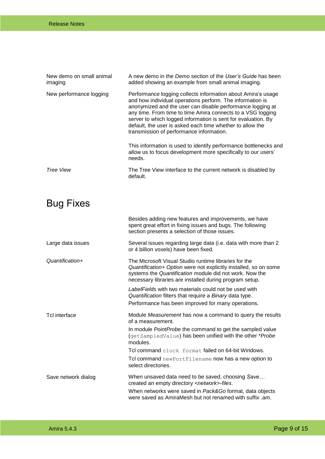| New demo on small animal<br>imaging | A new demo in the Demo section of the User's Guide has been<br>added showing an example from small animal imaging.                                                                                                                                                                                                                                                                                                               |
|-------------------------------------|----------------------------------------------------------------------------------------------------------------------------------------------------------------------------------------------------------------------------------------------------------------------------------------------------------------------------------------------------------------------------------------------------------------------------------|
| New performance logging             | Performance logging collects information about Amira's usage<br>and how individual operations perform. The information is<br>anonymized and the user can disable performance logging at<br>any time. From time to time Amira connects to a VSG logging<br>server to which logged information is sent for evaluation. By<br>default, the user is asked each time whether to allow the<br>transmission of performance information. |
|                                     | This information is used to identify performance bottlenecks and<br>allow us to focus development more specifically to our users'<br>needs.                                                                                                                                                                                                                                                                                      |
| Tree View                           | The Tree View interface to the current network is disabled by<br>default.                                                                                                                                                                                                                                                                                                                                                        |

# <span id="page-8-0"></span>Bug Fixes

|                     | Besides adding new features and improvements, we have<br>spent great effort in fixing issues and bugs. The following<br>section presents a selection of those issues.                                                                           |
|---------------------|-------------------------------------------------------------------------------------------------------------------------------------------------------------------------------------------------------------------------------------------------|
| Large data issues   | Several issues regarding large data (i.e. data with more than 2<br>or 4 billion voxels) have been fixed.                                                                                                                                        |
| Quantification+     | The Microsoft Visual Studio runtime libraries for the<br>Quantification+ Option were not explicitly installed, so on some<br>systems the Quantification module did not work. Now the<br>necessary libraries are installed during program setup. |
|                     | Label Fields with two materials could not be used with<br>Quantification filters that require a Binary data type.<br>Performance has been improved for many operations.                                                                         |
| Tcl interface       | Module Measurement has now a command to query the results<br>of a measurement.                                                                                                                                                                  |
|                     | In module PointProbe the command to get the sampled value<br>(getSampledValue) has been unified with the other *Probe<br>modules.                                                                                                               |
|                     | Tcl command clock format failed on 64-bit Windows.                                                                                                                                                                                              |
|                     | Tcl command newPortFilename now has a new option to<br>select directories.                                                                                                                                                                      |
| Save network dialog | When unsaved data need to be saved, choosing Save<br>created an empty directory <network>-files.</network>                                                                                                                                      |
|                     | When networks were saved in Pack&Go format, data objects<br>were saved as AmiraMesh but not renamed with suffix .am.                                                                                                                            |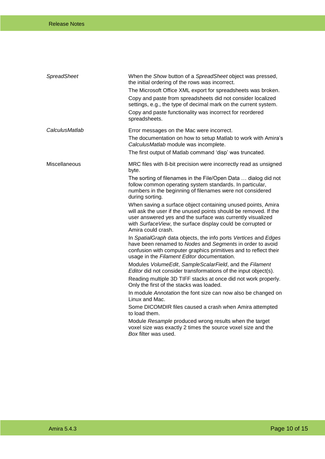| SpreadSheet    | When the Show button of a SpreadSheet object was pressed,<br>the initial ordering of the rows was incorrect.<br>The Microsoft Office XML export for spreadsheets was broken.<br>Copy and paste from spreadsheets did not consider localized<br>settings, e.g., the type of decimal mark on the current system.<br>Copy and paste functionality was incorrect for reordered<br>spreadsheets.                                                                                                                                                                                                                                                                                                                                                                                                                                                                                                                                                                                                                                                                                                                                                                                                                                                                                                                                                                            |
|----------------|------------------------------------------------------------------------------------------------------------------------------------------------------------------------------------------------------------------------------------------------------------------------------------------------------------------------------------------------------------------------------------------------------------------------------------------------------------------------------------------------------------------------------------------------------------------------------------------------------------------------------------------------------------------------------------------------------------------------------------------------------------------------------------------------------------------------------------------------------------------------------------------------------------------------------------------------------------------------------------------------------------------------------------------------------------------------------------------------------------------------------------------------------------------------------------------------------------------------------------------------------------------------------------------------------------------------------------------------------------------------|
| CalculusMatlab | Error messages on the Mac were incorrect.<br>The documentation on how to setup Matlab to work with Amira's<br>CalculusMatlab module was incomplete.<br>The first output of Matlab command 'disp' was truncated.                                                                                                                                                                                                                                                                                                                                                                                                                                                                                                                                                                                                                                                                                                                                                                                                                                                                                                                                                                                                                                                                                                                                                        |
| Miscellaneous  | MRC files with 8-bit precision were incorrectly read as unsigned<br>byte.<br>The sorting of filenames in the File/Open Data  dialog did not<br>follow common operating system standards. In particular,<br>numbers in the beginning of filenames were not considered<br>during sorting.<br>When saving a surface object containing unused points, Amira<br>will ask the user if the unused points should be removed. If the<br>user answered yes and the surface was currently visualized<br>with SurfaceView, the surface display could be corrupted or<br>Amira could crash.<br>In SpatialGraph data objects, the info ports Vertices and Edges<br>have been renamed to Nodes and Segments in order to avoid<br>confusion with computer graphics primitives and to reflect their<br>usage in the Filament Editor documentation.<br>Modules VolumeEdit, SampleScalarField, and the Filament<br>Editor did not consider transformations of the input object(s).<br>Reading multiple 3D TIFF stacks at once did not work properly.<br>Only the first of the stacks was loaded.<br>In module Annotation the font size can now also be changed on<br>Linux and Mac.<br>Some DICOMDIR files caused a crash when Amira attempted<br>to load them.<br>Module Resample produced wrong results when the target<br>voxel size was exactly 2 times the source voxel size and the |
|                | Box filter was used.                                                                                                                                                                                                                                                                                                                                                                                                                                                                                                                                                                                                                                                                                                                                                                                                                                                                                                                                                                                                                                                                                                                                                                                                                                                                                                                                                   |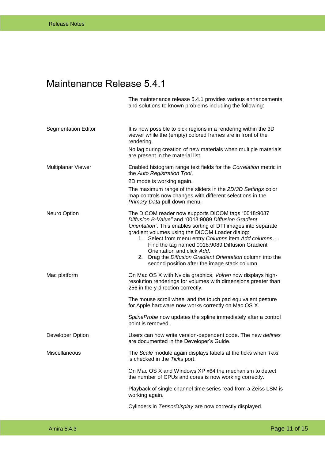## <span id="page-10-0"></span>Maintenance Release 5.4.1

The maintenance release 5.4.1 provides various enhancements and solutions to known problems including the following:

| <b>Segmentation Editor</b> | It is now possible to pick regions in a rendering within the 3D<br>viewer while the (empty) colored frames are in front of the<br>rendering.<br>No lag during creation of new materials when multiple materials<br>are present in the material list.                                                                                                                                                                                                                                   |
|----------------------------|----------------------------------------------------------------------------------------------------------------------------------------------------------------------------------------------------------------------------------------------------------------------------------------------------------------------------------------------------------------------------------------------------------------------------------------------------------------------------------------|
| Multiplanar Viewer         | Enabled histogram range text fields for the Correlation metric in<br>the Auto Registration Tool.<br>2D mode is working again.<br>The maximum range of the sliders in the 2D/3D Settings color<br>map controls now changes with different selections in the<br>Primary Data pull-down menu.                                                                                                                                                                                             |
| Neuro Option               | The DICOM reader now supports DICOM tags "0018:9087<br>Diffusion B-Value" and "0018:9089 Diffusion Gradient<br>Orientation". This enables sorting of DTI images into separate<br>gradient volumes using the DICOM Loader dialog:<br>1. Select from menu entry Columns item Add columns<br>Find the tag named 0018:9089 Diffusion Gradient<br>Orientation and click Add.<br>2. Drag the Diffusion Gradient Orientation column into the<br>second position after the image stack column. |
| Mac platform               | On Mac OS X with Nvidia graphics, Volren now displays high-<br>resolution renderings for volumes with dimensions greater than<br>256 in the y-direction correctly.                                                                                                                                                                                                                                                                                                                     |
|                            | The mouse scroll wheel and the touch pad equivalent gesture<br>for Apple hardware now works correctly on Mac OS X.                                                                                                                                                                                                                                                                                                                                                                     |
|                            | SplineProbe now updates the spline immediately after a control<br>point is removed.                                                                                                                                                                                                                                                                                                                                                                                                    |
| Developer Option           | Users can now write version-dependent code. The new defines<br>are documented in the Developer's Guide.                                                                                                                                                                                                                                                                                                                                                                                |
| Miscellaneous              | The Scale module again displays labels at the ticks when Text<br>is checked in the Ticks port.                                                                                                                                                                                                                                                                                                                                                                                         |
|                            | On Mac OS X and Windows XP x64 the mechanism to detect<br>the number of CPUs and cores is now working correctly.                                                                                                                                                                                                                                                                                                                                                                       |
|                            | Playback of single channel time series read from a Zeiss LSM is<br>working again.                                                                                                                                                                                                                                                                                                                                                                                                      |
|                            | Cylinders in TensorDisplay are now correctly displayed.                                                                                                                                                                                                                                                                                                                                                                                                                                |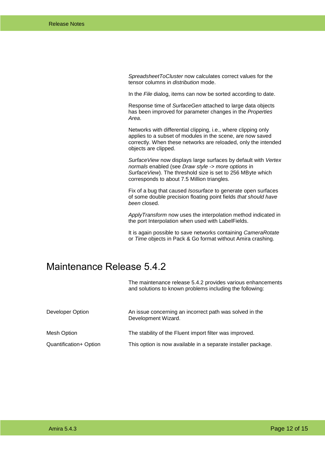*SpreadsheetToCluster* now calculates correct values for the tensor columns in *distribution* mode.

In the *File* dialog, items can now be sorted according to date.

Response time of *SurfaceGen* attached to large data objects has been improved for parameter changes in the *Properties Area*.

Networks with differential clipping, i.e., where clipping only applies to a subset of modules in the scene, are now saved correctly. When these networks are reloaded, only the intended objects are clipped.

*SurfaceView* now displays large surfaces by default with *Vertex normals* enabled (see *Draw style* -> *more options* in *SurfaceView*). The threshold size is set to 256 MByte which corresponds to about 7.5 Million triangles.

Fix of a bug that caused *Isosurface* to generate open surfaces of some double precision floating point fields *that should have been* closed.

*ApplyTransform* now uses the interpolation method indicated in the port Interpolation when used with LabelFields.

It is again possible to save networks containing *CameraRotate* or *Time* objects in Pack & Go format without Amira crashing.

#### <span id="page-11-0"></span>Maintenance Release 5.4.2

The maintenance release 5.4.2 provides various enhancements and solutions to known problems including the following: Developer Option **An issue concerning an incorrect path was solved in the** Development Wizard. Mesh Option The stability of the Fluent import filter was improved. Quantification+ Option This option is now available in a separate installer package.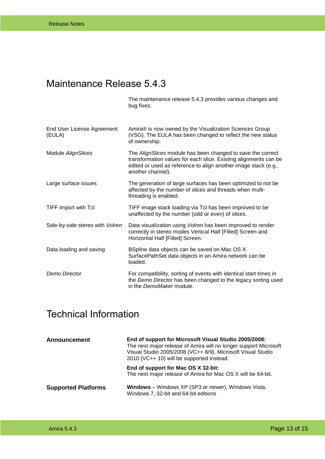# <span id="page-12-0"></span>Maintenance Release 5.4.3

The maintenance release 5.4.3 provides various changes and bug fixes:

| End User License Agreement<br>(EULA) | Amira® is now owned by the Visualization Sciences Group<br>(VSG). The EULA has been changed to reflect the new status<br>of ownership.                                                                                  |
|--------------------------------------|-------------------------------------------------------------------------------------------------------------------------------------------------------------------------------------------------------------------------|
| Module AlignSlices                   | The AlignSlices module has been changed to save the correct<br>transformation values for each slice. Existing alignments can be<br>edited or used as reference to align another image stack (e.g.,<br>another channel). |
| Large surface issues                 | The generation of large surfaces has been optimized to not be<br>affected by the number of slices and threads when multi-<br>threading is enabled.                                                                      |
| TIFF import with Tcl                 | TIFF image stack loading via Tcl has been improved to be<br>unaffected by the number (odd or even) of slices.                                                                                                           |
| Side-by-side stereo with Volren      | Data visualization using Volren has been improved to render<br>correctly in stereo modes Vertical Half [Filled] Screen and<br>Horizontal Half [Filled] Screen.                                                          |
| Data loading and saving              | BSpline data objects can be saved on Mac OS X.<br>SurfacePathSet data objects in an Amira network can be<br>loaded.                                                                                                     |
| Demo Director                        | For compatibility, sorting of events with identical start times in<br>the Demo Director has been changed to the legacy sorting used<br>in the DemoMaker module.                                                         |

#### <span id="page-12-1"></span>Technical Information

| <b>Announcement</b>        | End of support for Microsoft Visual Studio 2005/2008:<br>The next major release of Amira will no longer support Microsoft<br>Visual Studio 2005/2008 (VC++ 8/9). Microsoft Visual Studio<br>2010 (VC++ 10) will be supported instead. |  |
|----------------------------|---------------------------------------------------------------------------------------------------------------------------------------------------------------------------------------------------------------------------------------|--|
|                            | End of support for Mac OS X 32-bit:<br>The next major release of Amira for Mac OS X will be 64-bit.                                                                                                                                   |  |
| <b>Supported Platforms</b> | <b>Windows</b> – Windows XP (SP3 or newer), Windows Vista,<br>Windows 7, 32-bit and 64-bit editions                                                                                                                                   |  |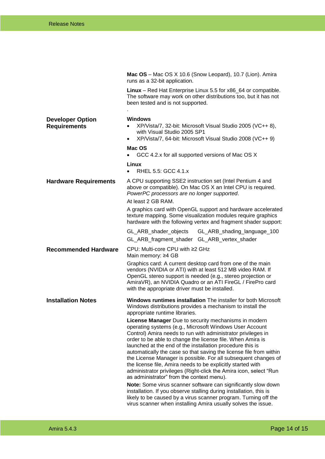|                                                | Mac OS - Mac OS X 10.6 (Snow Leopard), 10.7 (Lion). Amira<br>runs as a 32-bit application.                                                                                                                                                                                                                                                                                                                                                                                                                                                                                                                                          |  |  |
|------------------------------------------------|-------------------------------------------------------------------------------------------------------------------------------------------------------------------------------------------------------------------------------------------------------------------------------------------------------------------------------------------------------------------------------------------------------------------------------------------------------------------------------------------------------------------------------------------------------------------------------------------------------------------------------------|--|--|
|                                                | Linux - Red Hat Enterprise Linux 5.5 for x86_64 or compatible.<br>The software may work on other distributions too, but it has not<br>been tested and is not supported.                                                                                                                                                                                                                                                                                                                                                                                                                                                             |  |  |
|                                                |                                                                                                                                                                                                                                                                                                                                                                                                                                                                                                                                                                                                                                     |  |  |
| <b>Developer Option</b><br><b>Requirements</b> | <b>Windows</b><br>XP/Vista/7, 32-bit: Microsoft Visual Studio 2005 (VC++ 8),<br>with Visual Studio 2005 SP1<br>XP/Vista/7, 64-bit: Microsoft Visual Studio 2008 (VC++ 9)<br>$\bullet$                                                                                                                                                                                                                                                                                                                                                                                                                                               |  |  |
|                                                | Mac OS<br>GCC 4.2.x for all supported versions of Mac OS X<br>$\bullet$                                                                                                                                                                                                                                                                                                                                                                                                                                                                                                                                                             |  |  |
|                                                | Linux<br>RHEL 5.5: GCC 4.1.x<br>$\bullet$                                                                                                                                                                                                                                                                                                                                                                                                                                                                                                                                                                                           |  |  |
| <b>Hardware Requirements</b>                   | A CPU supporting SSE2 instruction set (Intel Pentium 4 and<br>above or compatible). On Mac OS X an Intel CPU is required.<br>PowerPC processors are no longer supported.<br>At least 2 GB RAM.                                                                                                                                                                                                                                                                                                                                                                                                                                      |  |  |
|                                                | A graphics card with OpenGL support and hardware accelerated<br>texture mapping. Some visualization modules require graphics<br>hardware with the following vertex and fragment shader support:                                                                                                                                                                                                                                                                                                                                                                                                                                     |  |  |
|                                                | GL_ARB_shader_objects<br>GL_ARB_shading_language_100<br>GL_ARB_fragment_shader GL_ARB_vertex_shader                                                                                                                                                                                                                                                                                                                                                                                                                                                                                                                                 |  |  |
| <b>Recommended Hardware</b>                    | CPU: Multi-core CPU with ≥2 GHz                                                                                                                                                                                                                                                                                                                                                                                                                                                                                                                                                                                                     |  |  |
|                                                | Main memory: ≥4 GB<br>Graphics card: A current desktop card from one of the main<br>vendors (NVIDIA or ATI) with at least 512 MB video RAM. If<br>OpenGL stereo support is needed (e.g., stereo projection or<br>AmiraVR), an NVIDIA Quadro or an ATI FireGL / FirePro card<br>with the appropriate driver must be installed.                                                                                                                                                                                                                                                                                                       |  |  |
| <b>Installation Notes</b>                      | Windows runtimes installation The installer for both Microsoft<br>Windows distributions provides a mechanism to install the<br>appropriate runtime libraries.                                                                                                                                                                                                                                                                                                                                                                                                                                                                       |  |  |
|                                                | License Manager Due to security mechanisms in modern<br>operating systems (e.g., Microsoft Windows User Account<br>Control) Amira needs to run with administrator privileges in<br>order to be able to change the license file. When Amira is<br>launched at the end of the installation procedure this is<br>automatically the case so that saving the license file from within<br>the License Manager is possible. For all subsequent changes of<br>the license file, Amira needs to be explicitly started with<br>administrator privileges (Right-click the Amira icon, select "Run<br>as administrator" from the context menu). |  |  |
|                                                | Note: Some virus scanner software can significantly slow down<br>installation. If you observe stalling during installation, this is<br>likely to be caused by a virus scanner program. Turning off the<br>virus scanner when installing Amira usually solves the issue.                                                                                                                                                                                                                                                                                                                                                             |  |  |